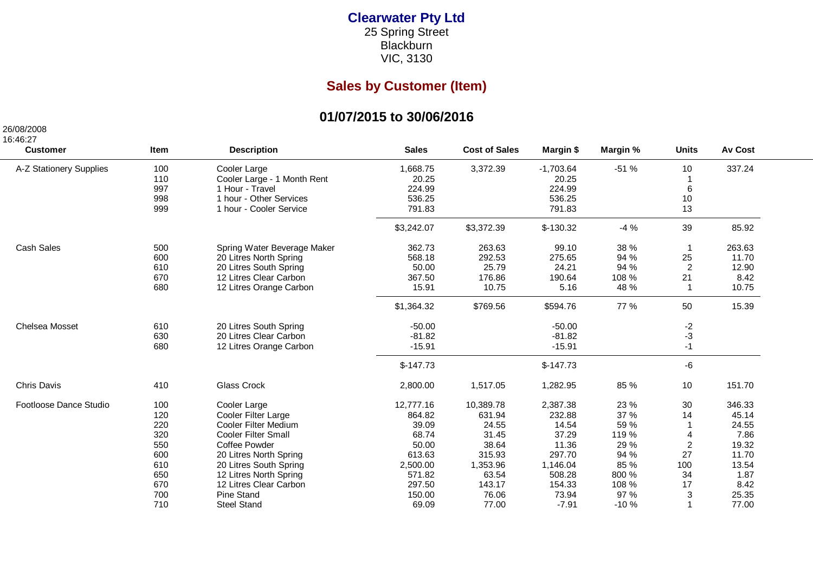## **Clearwater Pty Ltd**25 Spring Street Blackburn

VIC, 3130

## **Sales by Customer (Item)**

## **01/07/2015 to 30/06/2016**

26/08/2008

| 16:46:27                |             |                             |              |                      |             |          |                         |                |
|-------------------------|-------------|-----------------------------|--------------|----------------------|-------------|----------|-------------------------|----------------|
| <b>Customer</b>         | <b>Item</b> | <b>Description</b>          | <b>Sales</b> | <b>Cost of Sales</b> | Margin \$   | Margin % | <b>Units</b>            | <b>Av Cost</b> |
| A-Z Stationery Supplies | 100         | Cooler Large                | 1,668.75     | 3,372.39             | $-1,703.64$ | $-51%$   | 10                      | 337.24         |
|                         | 110         | Cooler Large - 1 Month Rent | 20.25        |                      | 20.25       |          |                         |                |
|                         | 997         | 1 Hour - Travel             | 224.99       |                      | 224.99      |          | $\,6\,$                 |                |
|                         | 998         | 1 hour - Other Services     | 536.25       |                      | 536.25      |          | 10                      |                |
|                         | 999         | 1 hour - Cooler Service     | 791.83       |                      | 791.83      |          | 13                      |                |
|                         |             |                             | \$3,242.07   | \$3,372.39           | $$-130.32$  | $-4%$    | 39                      | 85.92          |
| <b>Cash Sales</b>       | 500         | Spring Water Beverage Maker | 362.73       | 263.63               | 99.10       | 38 %     | -1                      | 263.63         |
|                         | 600         | 20 Litres North Spring      | 568.18       | 292.53               | 275.65      | 94 %     | 25                      | 11.70          |
|                         | 610         | 20 Litres South Spring      | 50.00        | 25.79                | 24.21       | 94 %     | 2                       | 12.90          |
|                         | 670         | 12 Litres Clear Carbon      | 367.50       | 176.86               | 190.64      | 108 %    | 21                      | 8.42           |
|                         | 680         | 12 Litres Orange Carbon     | 15.91        | 10.75                | 5.16        | 48 %     | $\mathbf 1$             | 10.75          |
|                         |             |                             | \$1,364.32   | \$769.56             | \$594.76    | 77 %     | 50                      | 15.39          |
| <b>Chelsea Mosset</b>   | 610         | 20 Litres South Spring      | $-50.00$     |                      | $-50.00$    |          | $-2$                    |                |
|                         | 630         | 20 Litres Clear Carbon      | $-81.82$     |                      | $-81.82$    |          | $-3$                    |                |
|                         | 680         | 12 Litres Orange Carbon     | $-15.91$     |                      | $-15.91$    |          | $-1$                    |                |
|                         |             |                             | $$-147.73$   |                      | $$-147.73$  |          | -6                      |                |
| <b>Chris Davis</b>      | 410         | Glass Crock                 | 2,800.00     | 1,517.05             | 1,282.95    | 85 %     | 10                      | 151.70         |
| Footloose Dance Studio  | 100         | Cooler Large                | 12,777.16    | 10,389.78            | 2,387.38    | 23 %     | 30                      | 346.33         |
|                         | 120         | Cooler Filter Large         | 864.82       | 631.94               | 232.88      | 37 %     | 14                      | 45.14          |
|                         | 220         | Cooler Filter Medium        | 39.09        | 24.55                | 14.54       | 59 %     | $\overline{1}$          | 24.55          |
|                         | 320         | <b>Cooler Filter Small</b>  | 68.74        | 31.45                | 37.29       | 119 %    | $\overline{4}$          | 7.86           |
|                         | 550         | <b>Coffee Powder</b>        | 50.00        | 38.64                | 11.36       | 29 %     | $\overline{2}$          | 19.32          |
|                         | 600         | 20 Litres North Spring      | 613.63       | 315.93               | 297.70      | 94 %     | 27                      | 11.70          |
|                         | 610         | 20 Litres South Spring      | 2,500.00     | 1,353.96             | 1,146.04    | 85 %     | 100                     | 13.54          |
|                         | 650         | 12 Litres North Spring      | 571.82       | 63.54                | 508.28      | 800 %    | 34                      | 1.87           |
|                         | 670         | 12 Litres Clear Carbon      | 297.50       | 143.17               | 154.33      | 108 %    | 17                      | 8.42           |
|                         | 700         | Pine Stand                  | 150.00       | 76.06                | 73.94       | 97 %     | 3                       | 25.35          |
|                         | 710         | <b>Steel Stand</b>          | 69.09        | 77.00                | $-7.91$     | $-10%$   | $\overline{\mathbf{1}}$ | 77.00          |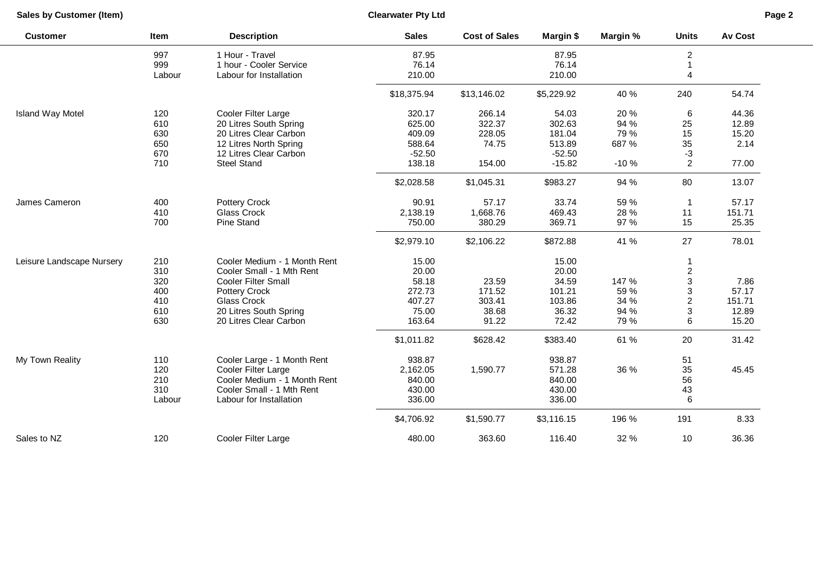**Sales by Customer (Item)**

**Clearwater Pty Ltd**

| <b>Customer</b>           | Item   | <b>Description</b>           | <b>Sales</b> | <b>Cost of Sales</b> | Margin \$  | Margin % | <b>Units</b>            | <b>Av Cost</b> |
|---------------------------|--------|------------------------------|--------------|----------------------|------------|----------|-------------------------|----------------|
|                           | 997    | 1 Hour - Travel              | 87.95        |                      | 87.95      |          | 2                       |                |
|                           | 999    | 1 hour - Cooler Service      | 76.14        |                      | 76.14      |          |                         |                |
|                           | Labour | Labour for Installation      | 210.00       |                      | 210.00     |          | 4                       |                |
|                           |        |                              | \$18,375.94  | \$13,146.02          | \$5,229.92 | 40 %     | 240                     | 54.74          |
| <b>Island Way Motel</b>   | 120    | Cooler Filter Large          | 320.17       | 266.14               | 54.03      | 20 %     | 6                       | 44.36          |
|                           | 610    | 20 Litres South Spring       | 625.00       | 322.37               | 302.63     | 94 %     | 25                      | 12.89          |
|                           | 630    | 20 Litres Clear Carbon       | 409.09       | 228.05               | 181.04     | 79 %     | 15                      | 15.20          |
|                           | 650    | 12 Litres North Spring       | 588.64       | 74.75                | 513.89     | 687 %    | 35                      | 2.14           |
|                           | 670    | 12 Litres Clear Carbon       | $-52.50$     |                      | $-52.50$   |          | $-3$                    |                |
|                           | 710    | <b>Steel Stand</b>           | 138.18       | 154.00               | $-15.82$   | $-10%$   | $\overline{2}$          | 77.00          |
|                           |        |                              | \$2,028.58   | \$1,045.31           | \$983.27   | 94 %     | 80                      | 13.07          |
| James Cameron             | 400    | Pottery Crock                | 90.91        | 57.17                | 33.74      | 59 %     | $\mathbf{1}$            | 57.17          |
|                           | 410    | Glass Crock                  | 2,138.19     | 1,668.76             | 469.43     | 28 %     | 11                      | 151.71         |
|                           | 700    | <b>Pine Stand</b>            | 750.00       | 380.29               | 369.71     | 97 %     | 15                      | 25.35          |
|                           |        |                              | \$2,979.10   | \$2,106.22           | \$872.88   | 41 %     | 27                      | 78.01          |
| Leisure Landscape Nursery | 210    | Cooler Medium - 1 Month Rent | 15.00        |                      | 15.00      |          |                         |                |
|                           | 310    | Cooler Small - 1 Mth Rent    | 20.00        |                      | 20.00      |          | $\overline{\mathbf{c}}$ |                |
|                           | 320    | <b>Cooler Filter Small</b>   | 58.18        | 23.59                | 34.59      | 147 %    | 3                       | 7.86           |
|                           | 400    | Pottery Crock                | 272.73       | 171.52               | 101.21     | 59 %     | 3                       | 57.17          |
|                           | 410    | Glass Crock                  | 407.27       | 303.41               | 103.86     | 34 %     | $\overline{c}$          | 151.71         |
|                           | 610    | 20 Litres South Spring       | 75.00        | 38.68                | 36.32      | 94 %     | 3                       | 12.89          |
|                           | 630    | 20 Litres Clear Carbon       | 163.64       | 91.22                | 72.42      | 79 %     | 6                       | 15.20          |
|                           |        |                              | \$1,011.82   | \$628.42             | \$383.40   | 61 %     | 20                      | 31.42          |
| My Town Reality           | 110    | Cooler Large - 1 Month Rent  | 938.87       |                      | 938.87     |          | 51                      |                |
|                           | 120    | Cooler Filter Large          | 2,162.05     | 1,590.77             | 571.28     | 36 %     | 35                      | 45.45          |
|                           | 210    | Cooler Medium - 1 Month Rent | 840.00       |                      | 840.00     |          | 56                      |                |
|                           | 310    | Cooler Small - 1 Mth Rent    | 430.00       |                      | 430.00     |          | 43                      |                |
|                           | Labour | Labour for Installation      | 336.00       |                      | 336.00     |          | 6                       |                |
|                           |        |                              | \$4,706.92   | \$1,590.77           | \$3,116.15 | 196 %    | 191                     | 8.33           |
| Sales to NZ               | 120    | Cooler Filter Large          | 480.00       | 363.60               | 116.40     | 32 %     | 10                      | 36.36          |